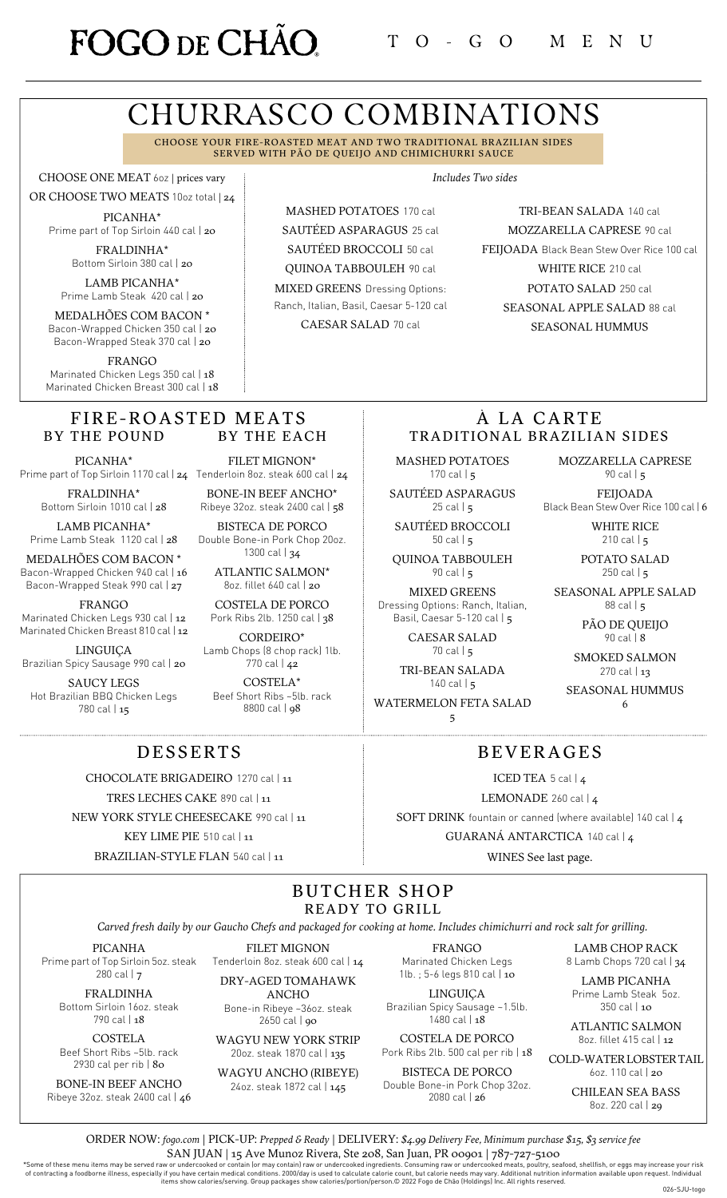# FOGO DE CHÃO

*Includes Two sides*

# CHURRASCO COMBINATIONS

CHOOSE YOUR FIRE-ROASTED MEAT AND TWO TRADITIONAL BRAZILIAN SIDES SERVED WITH PÃO DE QUEIJO AND CHIMICHURRI SAUCE

CHOOSE ONE MEAT 6oz | prices vary

OR CHOOSE TWO MEATS 10oz total | 24 PICANHA\* Prime part of Top Sirloin 440 cal | 20

> FRALDINHA\* Bottom Sirloin 380 cal | 20

LAMB PICANHA\* Prime Lamb Steak 420 cal | 20

MEDALHÕES COM BACON \* Bacon-Wrapped Chicken 350 cal | 20 Bacon-Wrapped Steak 370 cal | 20

FRANGO Marinated Chicken Legs 350 cal | 18 Marinated Chicken Breast 300 cal | 18

#### FIRE-ROASTED MEATS BY THE POUND BY THE EACH

PICANHA\*

FRALDINHA\* Bottom Sirloin 1010 cal | 28

LAMB PICANHA\* Prime Lamb Steak 1120 cal | 28

MEDALHÕES COM BACON \* Bacon-Wrapped Chicken 940 cal | 16 Bacon-Wrapped Steak 990 cal | 27

FRANGO

Marinated Chicken Legs 930 cal | 12 Marinated Chicken Breast 810 cal | 12

LINGUIÇA Brazilian Spicy Sausage 990 cal | 20

SAUCY LEGS Hot Brazilian BBQ Chicken Legs 780 cal | 15

Prime part of Top Sirloin 1170 cal | **24** Tenderloin 8oz. steak 600 cal | **24** FILET MIGNON\*

BONE-IN BEEF ANCHO\* Ribeye 32oz. steak 2400 cal | 58 BISTECA DE PORCO

Double Bone-in Pork Chop 20oz. 1300 cal | 34

> ATLANTIC SALMON\* 8oz. fillet 640 cal | 20

COSTELA DE PORCO Pork Ribs 2lb. 1250 cal | 38

CORDEIRO\* Lamb Chops (8 chop rack) 1lb. 770 cal | 42

COSTELA\* Beef Short Ribs ~5lb. rack 8800 cal | 98

MASHED POTATOES 170 cal SAUTÉED ASPARAGUS 25 cal SAUTÉED BROCCOLI 50 cal QUINOA TABBOULEH 90 cal MIXED GREENS Dressing Options: Ranch, Italian, Basil, Caesar 5-120 cal

CAESAR SALAD 70 cal

TRI-BEAN SALADA 140 cal MOZZARELLA CAPRESE 90 cal FEIJOADA Black Bean Stew Over Rice 100 cal WHITE RICE 210 cal POTATO SALAD 250 cal SEASONAL APPLE SALAD 88 cal SEASONAL HUMMUS

## À LA CARTE TRADITIONAL BRAZILIAN SIDES

BEVERAGES

ICED TEA 5 cal | 4 LEMONADE 260 cal | 4 SOFT DRINK fountain or canned (where available) 140 cal | 4 GUARANÁ ANTARCTICA 140 cal | 4 WINES See last page.

MASHED POTATOES 170 cal  $\vert$  5

SAUTÉED ASPARAGUS 25 cal  $\vert$  5

SAUTÉED BROCCOLI 50 cal | 5

QUINOA TABBOULEH 90 cal | 5

MIXED GREENS Dressing Options: Ranch, Italian, Basil, Caesar 5-120 cal | 5

> CAESAR SALAD 70 cal | 5

TRI-BEAN SALADA  $140$  cal  $\frac{1}{5}$ 

WATERMELON FETA SALAD 5

MOZZARELLA CAPRESE 90 cal | 5

FEIJOADA Black Bean Stew Over Rice 100 cal | 6

> WHITE RICE 210 cal  $\vert$  5

POTATO SALAD 250 cal  $|5|$ 

SEASONAL APPLE SALAD 88 cal | 5

> PÃO DE QUEIJO 90 cal | 8

SMOKED SALMON 270 cal | 13

SEASONAL HUMMUS 6

## DESSERTS

CHOCOLATE BRIGADEIRO 1270 cal | 11

TRES LECHES CAKE 890 cal | 11

NEW YORK STYLE CHEESECAKE 990 cal | 11

KEY LIME PIE 510 cal | 11

BRAZILIAN-STYLE FLAN 540 cal | 11

# BUTCHER SHOP READY TO GRILL

Carved fresh daily by our Gaucho Chefs and packaged for cooking at home. Includes chimichurri and rock salt for grilling.

PICANHA Prime part of Top Sirloin 5oz. steak 280 cal | 7

> FRALDINHA Bottom Sirloin 16oz. steak 790 cal | 18

COSTELA Beef Short Ribs ~5lb. rack

2930 cal per rib | 80 BONE-IN BEEF ANCHO

Ribeye 32oz. steak 2400 cal | 46

FILET MIGNON Tenderloin 8oz. steak 600 cal | 14 DRY-AGED TOMAHAWK

ANCHO Bone-in Ribeye ~36oz. steak 2650 cal | 90

WAGYU NEW YORK STRIP 20oz. steak 1870 cal | 135

WAGYU ANCHO (RIBEYE) 24oz. steak 1872 cal | 145

FRANGO Marinated Chicken Legs 1lb. ; 5-6 legs 810 cal | 10

LINGUIÇA Brazilian Spicy Sausage ~1.5lb.  $1480$  cal  $148$ 

COSTELA DE PORCO Pork Ribs 2lb. 500 cal per rib | 18

BISTECA DE PORCO Double Bone-in Pork Chop 32oz. 2080 cal | 26

LAMB CHOP RACK 8 Lamb Chops 720 cal | 34

LAMB PICANHA Prime Lamb Steak 5oz.

350 cal | 10 ATLANTIC SALMON

8oz. fillet 415 cal | 12 COLD-WATERLOBSTERTAIL

6oz. 110 cal | 20 CHILEAN SEA BASS

8oz. 220 cal | 29

ORDER NOW: *[fogo.com](https://fogo.olo.com/menu/fogo-de-cho-brazilian-steakhouse-36)* | PICK-UP: *Prepped & Ready* | DELIVERY: *\$4.99 Delivery Fee, Minimum purchase \$15, \$3 service fee* SAN JUAN | 15 Ave Munoz Rivera, Ste 208, San Juan, PR 00901 | 787-727-5100

Some of these menu items may be served raw or undercooked or contain [or may contain] raw or undercooked ingredients. Consuming raw or undercooked meats, poultry, seafood, shellfish, or eggs may increase your risk of contr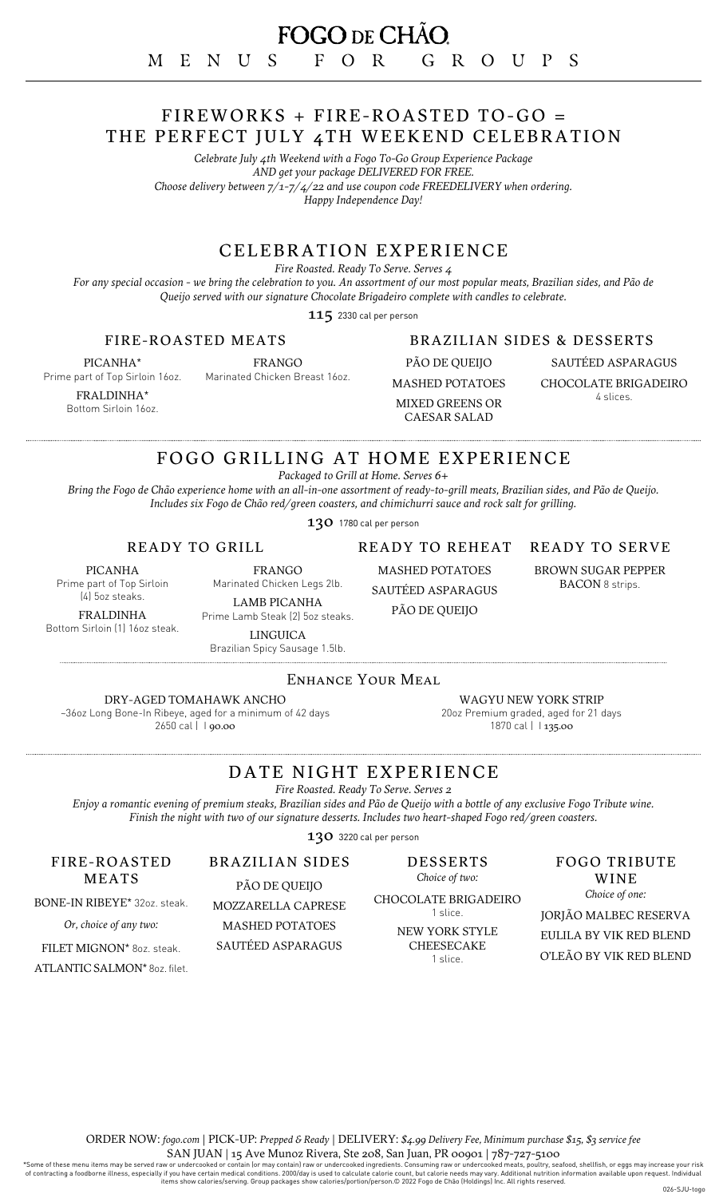## FIREWORKS + FIRE-ROASTED TO-GO = THE PERFECT JULY 4TH WEEKEND CELEBRATION

*Celebrate July 4th Weekend with a Fogo To-Go Group Experience Package AND get your package DELIVERED FOR FREE. Choose delivery between 7/1-7/4/22 and use coupon code FREEDELIVERY when ordering. Happy Independence Day!*

## CELEBRATION EXPERIENCE

*Fire Roasted. Ready To Serve. Serves 4*

For any special occasion - we bring the celebration to you. An assortment of our most popular meats, Brazilian sides, and Pão de *Queijo served with our signature Chocolate Brigadeiro complete with candles to celebrate.*

115 2330 cal per person

### FIRE-ROASTED MEATS

PICANHA\* Prime part of Top Sirloin 16oz.

Marinated Chicken Breast 16oz.

FRALDINHA\* Bottom Sirloin 16oz. FRANGO

## BRAZILIAN SIDES & DESSERTS

PÃO DE QUEIJO MASHED POTATOES MIXED GREENS OR CAESAR SALAD

SAUTÉED ASPARAGUS CHOCOLATE BRIGADEIRO 4 slices.

## FOGO GRILLING AT HOME EXPERIENCE

*Packaged to Grill at Home. Serves 6+*

Bring the Fogo de Chão experience home with an all-in-one assortment of ready-to-grill meats, Brazilian sides, and Pão de Queijo. *Includes six Fogo de Chão red/green coasters, and chimichurri sauce and rock salt for grilling.*

130 1780 cal per person

READY TO GRILL

DRY-AGED TOMAHAWK ANCHO

2650 cal | 1 90.00

PICANHA Prime part of Top Sirloin

(4) 5oz steaks.

FRALDINHA Bottom Sirloin (1) 16oz steak.

LAMB PICANHA Prime Lamb Steak (2) 5oz steaks. LINGUICA

FRANGO Marinated Chicken Legs 2lb. READY TO REHEAT MASHED POTATOES

SAUTÉED ASPARAGUS

PÃO DE QUEIJO

#### READY TO SERVE

BROWN SUGAR PEPPER BACON 8 strips.

Brazilian Spicy Sausage 1.5lb.

ENHANCE YOUR MEAL

~36oz Long Bone-In Ribeye, aged for a minimum of 42 days WAGYU NEW YORK STRIP

20oz Premium graded, aged for 21 days 1870 cal | 135.00

# DATE NIGHT EXPERIENCE

*Fire Roasted. Ready To Serve. Serves 2*

Enjoy a romantic evening of premium steaks, Brazilian sides and Pão de Queijo with a bottle of any exclusive Fogo Tribute wine. *Finish the night with two of our signature desserts. Includes two heart-shaped Fogo red/green coasters.*

130 3220 cal per person

DESSERTS *Choice of two:*

CHOCOLATE BRIGADEIRO 1 slice.

> NEW YORK STYLE CHEESECAKE

## FOGO TRIBUTE WINE

*Choice of one:* JORJÃO MALBEC RESERVA EULILA BY VIK RED BLEND O'LEÃO BY VIK RED BLEND

MEATS BONE-IN RIBEYE\* 32oz. steak.

FIRE-ROASTED

*Or, choice of any two:*

FILET MIGNON\* 8oz. steak.

ATLANTIC SALMON\* 8oz. filet.

BRAZILIAN SIDES PÃO DE QUEIJO

MOZZARELLA CAPRESE MASHED POTATOES

SAUTÉED ASPARAGUS

1 slice.

Some of these menu items may be served raw or undercooked or contain [or may contain] raw or undercooked ingredients. Consuming raw or undercooked meats, poultry, seafood, shellfish, or eggs may increase your risk of contr